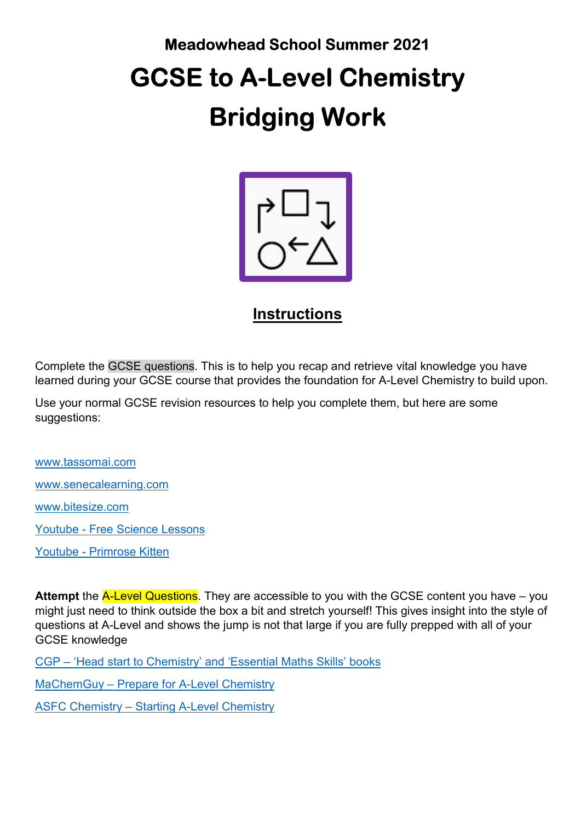# Meadowhead School Summer 2021 GCSE to A-Level Chemistry Bridging Work



# **Instructions**

Complete the GCSE questions. This is to help you recap and retrieve vital knowledge you have learned during your GCSE course that provides the foundation for A-Level Chemistry to build upon.

Use your normal GCSE revision resources to help you complete them, but here are some suggestions:

www.tassomai.com www.senecalearning.com www.bitesize.com Youtube - Free Science Lessons Youtube - Primrose Kitten

Attempt the **A-Level Questions**. They are accessible to you with the GCSE content you have – you might just need to think outside the box a bit and stretch yourself! This gives insight into the style of questions at A-Level and shows the jump is not that large if you are fully prepped with all of your GCSE knowledge

CGP – 'Head start to Chemistry' and 'Essential Maths Skills' books

MaChemGuy – Prepare for A-Level Chemistry

ASFC Chemistry – Starting A-Level Chemistry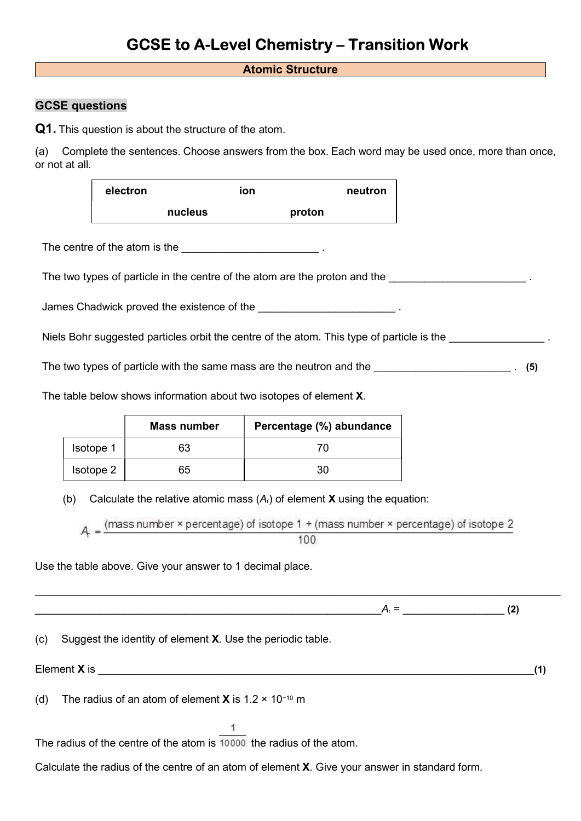# GCSE to A-Level Chemistry – Transition Work

#### Atomic Structure

#### GCSE questions

Q1. This question is about the structure of the atom.

(a) Complete the sentences. Choose answers from the box. Each word may be used once, more than once, or not at all.

| electron |         | ion |        | neutron |
|----------|---------|-----|--------|---------|
|          | nucleus |     | proton |         |

The centre of the atom is the  $\blacksquare$ 

The two types of particle in the centre of the atom are the proton and the  $\blacksquare$ 

James Chadwick proved the existence of the **EXISTEN CHAUGE 2008**.

Niels Bohr suggested particles orbit the centre of the atom. This type of particle is the

The two types of particle with the same mass are the neutron and the \_\_\_\_\_\_\_\_\_\_\_\_\_\_\_\_\_\_\_\_\_\_\_\_\_\_\_\_\_\_. (5)

The table below shows information about two isotopes of element X.

|           | <b>Mass number</b> | Percentage (%) abundance |
|-----------|--------------------|--------------------------|
| Isotope 1 | 63                 |                          |
| Isotope 2 | 65                 | 30                       |

(b) Calculate the relative atomic mass  $(A<sub>r</sub>)$  of element **X** using the equation:

 $A = \frac{(\text{mass number} \times \text{percentage}) \text{ of isotope 1 + (mass number} \times \text{percentage}) \text{ of isotope 2}}{(\text{mass number} \times \text{percentage}) \text{ of the total number 2}}$ 

 $\_$ 

Use the table above. Give your answer to 1 decimal place.

 $A_r =$  (2) (c) Suggest the identity of element X. Use the periodic table. Element  $X$  is  $(1)$ (d) The radius of an atom of element X is 1.2  $\times$  10<sup>-10</sup> m 1 The radius of the centre of the atom is 10000 the radius of the atom. Calculate the radius of the centre of an atom of element X. Give your answer in standard form.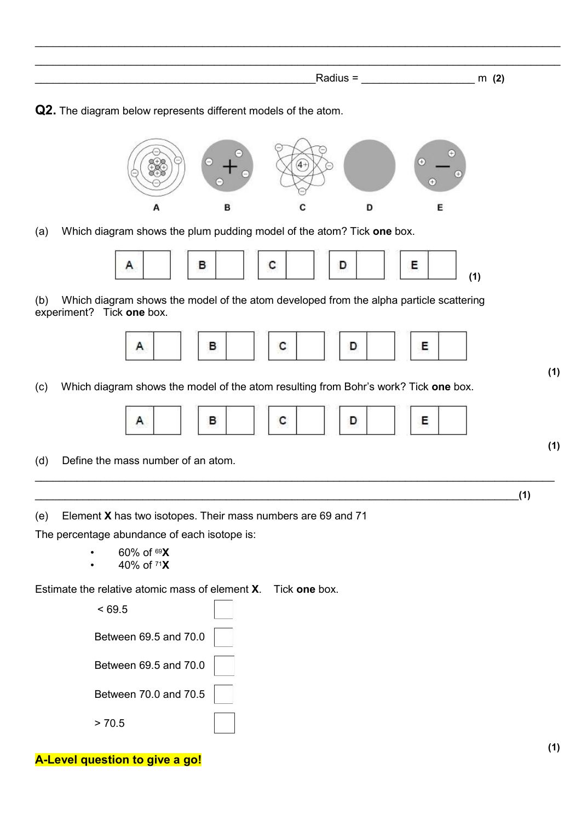|  | $\sim$<br>. |
|--|-------------|

 $\_$  , and the set of the set of the set of the set of the set of the set of the set of the set of the set of the set of the set of the set of the set of the set of the set of the set of the set of the set of the set of th

Q2. The diagram below represents different models of the atom.



(a) Which diagram shows the plum pudding model of the atom? Tick one box.



(b) Which diagram shows the model of the atom developed from the alpha particle scattering experiment? Tick one box.



(c) Which diagram shows the model of the atom resulting from Bohr's work? Tick one box.



 $\_$  , and the set of the set of the set of the set of the set of the set of the set of the set of the set of the set of the set of the set of the set of the set of the set of the set of the set of the set of the set of th

 $\Box$  (1)

(d) Define the mass number of an atom.

(e) Element X has two isotopes. Their mass numbers are 69 and 71

The percentage abundance of each isotope is:

- $60\% \text{ of }^{69}\text{X}$
- 40% of  $71X$

Estimate the relative atomic mass of element X. Tick one box.

| < 69.5                |  |
|-----------------------|--|
| Between 69.5 and 70.0 |  |
| Between 69.5 and 70.0 |  |
| Between 70.0 and 70.5 |  |
| > 70.5                |  |

# A-Level question to give a go!

(1)

(1)

(1)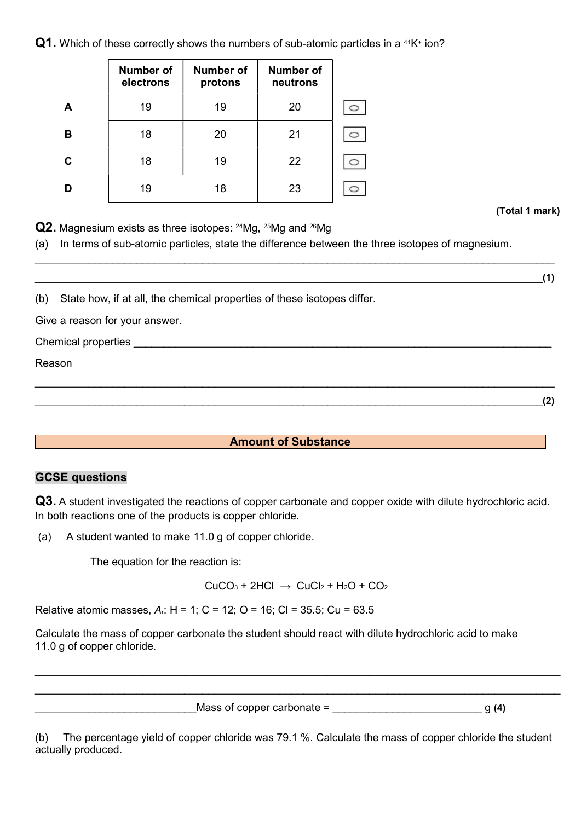$\mathsf{Q1}.$  Which of these correctly shows the numbers of sub-atomic particles in a <sup>41</sup>K<sup>+</sup> ion?

|   | Number of<br>electrons | <b>Number of</b><br>protons | <b>Number of</b><br>neutrons |  |
|---|------------------------|-----------------------------|------------------------------|--|
| A | 19                     | 19                          | 20                           |  |
| в | 18                     | 20                          | 21                           |  |
| C | 18                     | 19                          | 22                           |  |
|   | 19                     | 18                          | 23                           |  |

(Total 1 mark)

Q2. Magnesium exists as three isotopes: <sup>24</sup>Mg, <sup>25</sup>Mg and <sup>26</sup>Mg

(a) In terms of sub-atomic particles, state the difference between the three isotopes of magnesium.

 $\_$  , and the set of the set of the set of the set of the set of the set of the set of the set of the set of the set of the set of the set of the set of the set of the set of the set of the set of the set of the set of th

 $\Box$  (1)

(b) State how, if at all, the chemical properties of these isotopes differ.

Give a reason for your answer.

 $\blacksquare$  Chemical properties  $\blacksquare$ 

Reason

 $\hspace{1.5cm}$  (2)

# Amount of Substance

 $\_$  , and the set of the set of the set of the set of the set of the set of the set of the set of the set of the set of the set of the set of the set of the set of the set of the set of the set of the set of the set of th

## GCSE questions

Q3. A student investigated the reactions of copper carbonate and copper oxide with dilute hydrochloric acid. In both reactions one of the products is copper chloride.

(a) A student wanted to make 11.0 g of copper chloride.

The equation for the reaction is:

 $CuCO<sub>3</sub> + 2HCl \rightarrow CuCl<sub>2</sub> + H<sub>2</sub>O + CO<sub>2</sub>$ 

 $\_$  $\_$ 

Relative atomic masses, Ar: H = 1; C = 12; O = 16; Cl = 35.5; Cu = 63.5

Calculate the mass of copper carbonate the student should react with dilute hydrochloric acid to make 11.0 g of copper chloride.

\_\_\_\_\_\_\_\_\_\_\_\_\_\_\_\_\_\_\_\_\_\_\_\_\_\_\_Mass of copper carbonate = \_\_\_\_\_\_\_\_\_\_\_\_\_\_\_\_\_\_\_\_\_\_\_\_\_ g (4)

(b) The percentage yield of copper chloride was 79.1 %. Calculate the mass of copper chloride the student actually produced.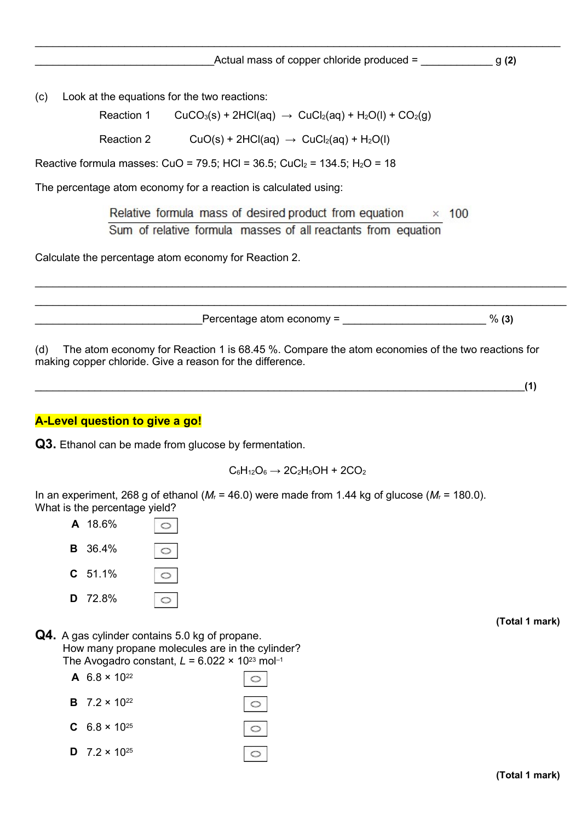$\_$  , and the set of the set of the set of the set of the set of the set of the set of the set of the set of the set of the set of the set of the set of the set of the set of the set of the set of the set of the set of th

(c) Look at the equations for the two reactions:

Reaction 1 CuCO<sub>3</sub>(s) + 2HCl(aq)  $\rightarrow$  CuCl<sub>2</sub>(aq) + H<sub>2</sub>O(l) + CO<sub>2</sub>(g)

Reaction 2  $Cuo(s) + 2HCl(aq) \rightarrow CuCl<sub>2</sub>(aq) + H<sub>2</sub>O(l)$ 

Reactive formula masses: CuO = 79.5; HCl =  $36.5$ ; CuCl<sub>2</sub> =  $134.5$ ; H<sub>2</sub>O =  $18$ 

The percentage atom economy for a reaction is calculated using:

Relative formula mass of desired product from equation  $\times$  100 Sum of relative formula masses of all reactants from equation

 $\_$  $\_$  , and the set of the set of the set of the set of the set of the set of the set of the set of the set of the set of the set of the set of the set of the set of the set of the set of the set of the set of the set of th

Calculate the percentage atom economy for Reaction 2.

 $\blacksquare$  Percentage atom economy =  $\blacksquare$ 

(d) The atom economy for Reaction 1 is 68.45 %. Compare the atom economies of the two reactions for making copper chloride. Give a reason for the difference.

 $\Box$  (1)

#### A-Level question to give a go!

Q3. Ethanol can be made from glucose by fermentation.

 $C_6H_{12}O_6 \rightarrow 2C_2H_5OH + 2CO_2$ 

In an experiment, 268 g of ethanol ( $M_r$  = 46.0) were made from 1.44 kg of glucose ( $M_r$  = 180.0). What is the percentage vield?



Q4. A gas cylinder contains 5.0 kg of propane. How many propane molecules are in the cylinder? The Avogadro constant,  $L = 6.022 \times 10^{23}$  mol-1

| A 6.8 $\times$ 10 <sup>22</sup>        |         |
|----------------------------------------|---------|
| <b>B</b> $7.2 \times 10^{22}$          | $\circ$ |
| <b>C</b> $6.8 \times 10^{25}$          | $\circ$ |
| <b>D</b> 7.2 $\times$ 10 <sup>25</sup> | $\circ$ |

(Total 1 mark)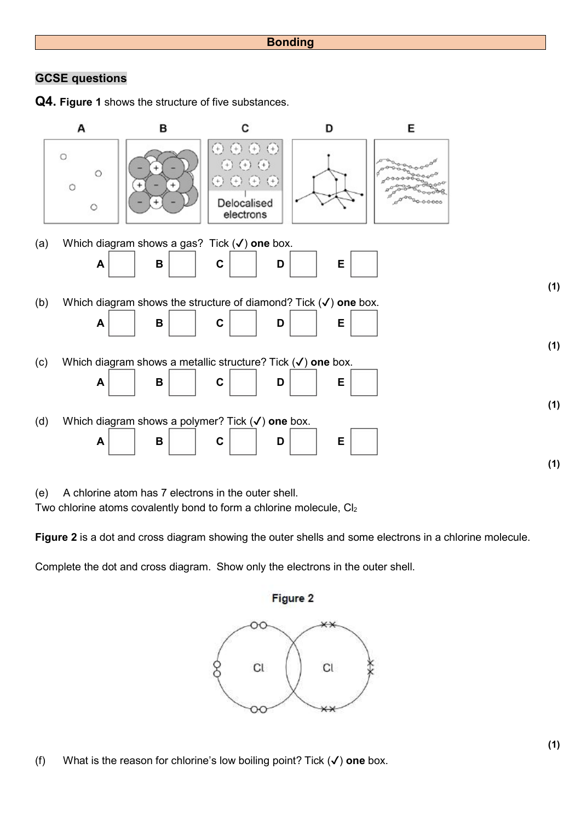## GCSE questions

Q4. Figure 1 shows the structure of five substances.



(e) A chlorine atom has 7 electrons in the outer shell.

Two chlorine atoms covalently bond to form a chlorine molecule, Cl2

Figure 2 is a dot and cross diagram showing the outer shells and some electrons in a chlorine molecule.

Complete the dot and cross diagram. Show only the electrons in the outer shell.



(f) What is the reason for chlorine's low boiling point? Tick  $(\checkmark)$  one box.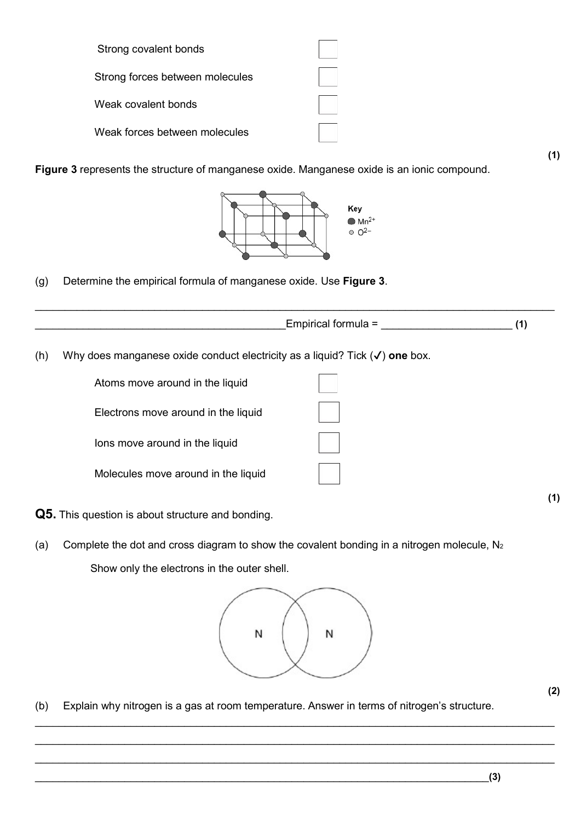| Strong covalent bonds           |  |
|---------------------------------|--|
| Strong forces between molecules |  |
| Weak covalent bonds             |  |
| Weak forces between molecules   |  |

Figure 3 represents the structure of manganese oxide. Manganese oxide is an ionic compound.



(g) Determine the empirical formula of manganese oxide. Use Figure 3.

|     |                                                                                        | Empirical formula = | (1) |
|-----|----------------------------------------------------------------------------------------|---------------------|-----|
| (h) | Why does manganese oxide conduct electricity as a liquid? Tick $(\checkmark)$ one box. |                     |     |
|     | Atoms move around in the liquid                                                        |                     |     |
|     | Electrons move around in the liquid                                                    |                     |     |
|     | lons move around in the liquid                                                         |                     |     |
|     | Molecules move around in the liquid                                                    |                     |     |

- Q5. This question is about structure and bonding.
- (a) Complete the dot and cross diagram to show the covalent bonding in a nitrogen molecule,  $N_2$ Show only the electrons in the outer shell.



 $\_$  , and the set of the set of the set of the set of the set of the set of the set of the set of the set of the set of the set of the set of the set of the set of the set of the set of the set of the set of the set of th

 $\_$  , and the set of the set of the set of the set of the set of the set of the set of the set of the set of the set of the set of the set of the set of the set of the set of the set of the set of the set of the set of th

(b) Explain why nitrogen is a gas at room temperature. Answer in terms of nitrogen's structure.

(2)

(1)

(1)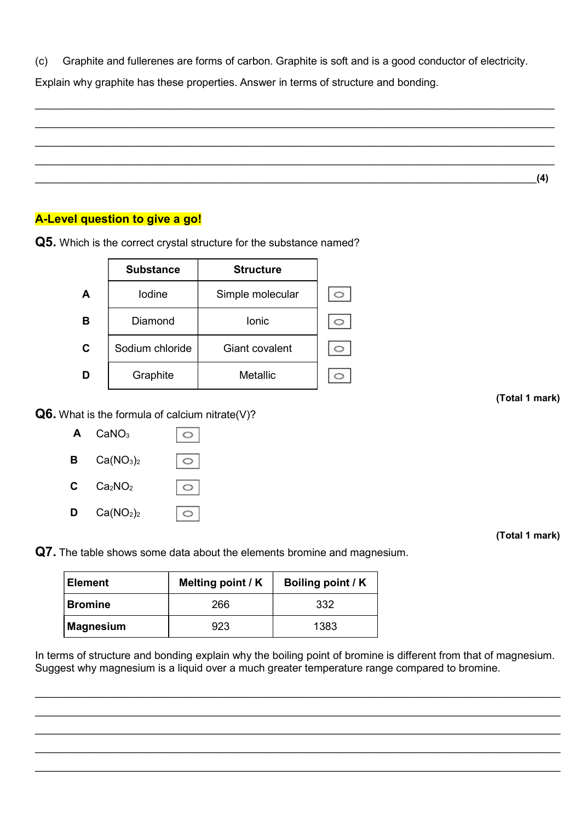(c) Graphite and fullerenes are forms of carbon. Graphite is soft and is a good conductor of electricity.

 $\_$  , and the set of the set of the set of the set of the set of the set of the set of the set of the set of the set of the set of the set of the set of the set of the set of the set of the set of the set of the set of th

 $\_$  , and the set of the set of the set of the set of the set of the set of the set of the set of the set of the set of the set of the set of the set of the set of the set of the set of the set of the set of the set of th  $\_$  , and the set of the set of the set of the set of the set of the set of the set of the set of the set of the set of the set of the set of the set of the set of the set of the set of the set of the set of the set of th  $\hspace{1cm} (4)$ 

Explain why graphite has these properties. Answer in terms of structure and bonding.

# A-Level question to give a go!

|   | <b>Substance</b> | <b>Structure</b> |  |
|---|------------------|------------------|--|
| A | lodine           | Simple molecular |  |
| в | Diamond          | lonic            |  |
| C | Sodium chloride  | Giant covalent   |  |
|   | Graphite         | Metallic         |  |

Q5. Which is the correct crystal structure for the substance named?

**Q6.** What is the formula of calcium nitrate(V)?



(Total 1 mark)

(Total 1 mark)

Q7. The table shows some data about the elements bromine and magnesium.

| Element        | Melting point / K | Boiling point / K |
|----------------|-------------------|-------------------|
| <b>Bromine</b> | 266               | 332               |
| Magnesium      | 923               | 1383              |

In terms of structure and bonding explain why the boiling point of bromine is different from that of magnesium. Suggest why magnesium is a liquid over a much greater temperature range compared to bromine.

 $\_$  , and the set of the set of the set of the set of the set of the set of the set of the set of the set of the set of the set of the set of the set of the set of the set of the set of the set of the set of the set of th  $\_$  $\_$ 

 $\_$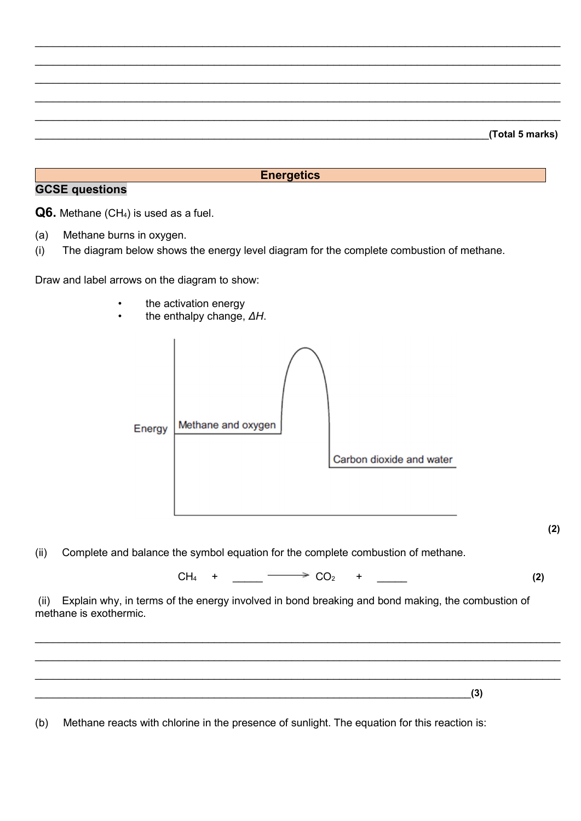|  | (Total 5 marks) |
|--|-----------------|
|  |                 |

#### **Energetics**

#### GCSE questions

Q6. Methane (CH<sub>4</sub>) is used as a fuel.

- (a) Methane burns in oxygen.
- (i) The diagram below shows the energy level diagram for the complete combustion of methane.

Draw and label arrows on the diagram to show:

- the activation energy
- the enthalpy change, ΔH.



(2)

(ii) Complete and balance the symbol equation for the complete combustion of methane.

 $CH_4$  +  $\longrightarrow CO_2$  + (2)

 $\_$  $\_$  $\_$ 

 (ii) Explain why, in terms of the energy involved in bond breaking and bond making, the combustion of methane is exothermic.

(b) Methane reacts with chlorine in the presence of sunlight. The equation for this reaction is:

 $\Box$  (3)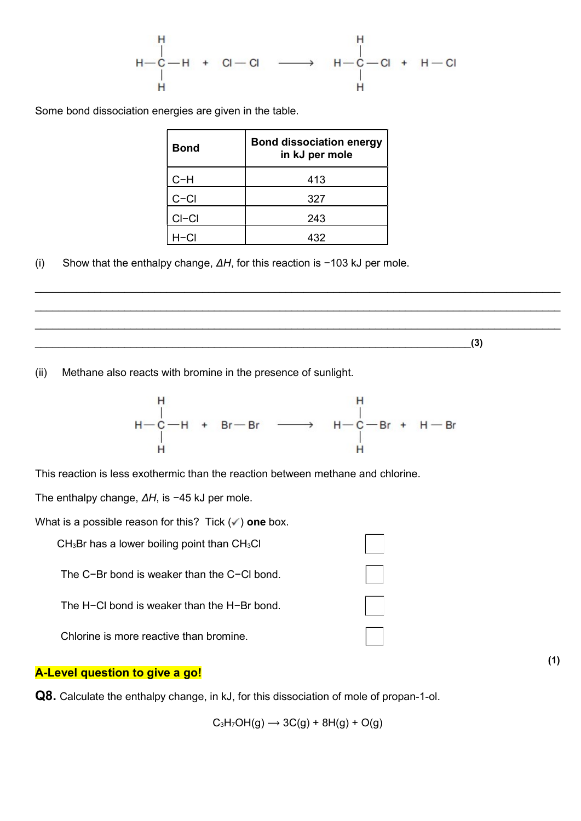Some bond dissociation energies are given in the table.

| <b>Bond</b> | <b>Bond dissociation energy</b><br>in kJ per mole |
|-------------|---------------------------------------------------|
| $C-H$       | 413                                               |
| $C-CI$      | 327                                               |
| $CI-CI$     | 243                                               |
|             | 432                                               |

(i) Show that the enthalpy change, ΔH, for this reaction is −103 kJ per mole.

 $\Box$  (3)

(ii) Methane also reacts with bromine in the presence of sunlight.



 $\_$  $\_$  $\_$ 

This reaction is less exothermic than the reaction between methane and chlorine.

The enthalpy change, ΔH, is −45 kJ per mole.

What is a possible reason for this? Tick  $(\checkmark)$  one box.

 $CH<sub>3</sub>Br$  has a lower boiling point than  $CH<sub>3</sub>Cl$ 

The C−Br bond is weaker than the C−Cl bond.

The H−Cl bond is weaker than the H−Br bond.

Chlorine is more reactive than bromine.

#### A-Level question to give a go!

Q8. Calculate the enthalpy change, in kJ, for this dissociation of mole of propan-1-ol.

 $C_3H_7OH(g) \rightarrow 3C(g) + 8H(g) + O(g)$ 

(1)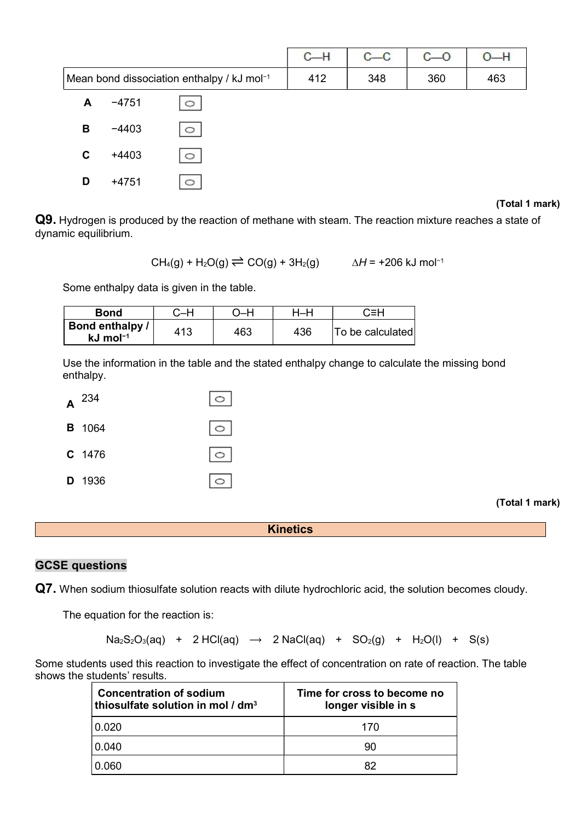|                                            |         |         | $C-H$ | $c - c$ | $C - O$ | 0—H |
|--------------------------------------------|---------|---------|-------|---------|---------|-----|
| Mean bond dissociation enthalpy / kJ mol-1 |         |         | 412   | 348     | 360     | 463 |
| A                                          | $-4751$ | O       |       |         |         |     |
| В                                          | $-4403$ | $\circ$ |       |         |         |     |
| C                                          | $+4403$ | $\circ$ |       |         |         |     |
| D                                          | $+4751$ | ⌒       |       |         |         |     |

#### (Total 1 mark)

Q9. Hydrogen is produced by the reaction of methane with steam. The reaction mixture reaches a state of dynamic equilibrium.

 $CH_4(g) + H_2O(g) \rightleftharpoons CO(g) + 3H_2(g)$   $\Delta H = +206$  kJ mol<sup>-1</sup>

Some enthalpy data is given in the table.

| Bond                                    | $\mathord{\coloneqq}$ H |     | ⊣—⊦ | C≡H              |
|-----------------------------------------|-------------------------|-----|-----|------------------|
| Bond enthalpy<br>$kJ$ mol <sup>-1</sup> | 413                     | 463 | 436 | To be calculated |

Use the information in the table and the stated enthalpy change to calculate the missing bond enthalpy.



(Total 1 mark)

**Kinetics** 

#### GCSE questions

Q7. When sodium thiosulfate solution reacts with dilute hydrochloric acid, the solution becomes cloudy.

The equation for the reaction is:

 $Na<sub>2</sub>S<sub>2</sub>O<sub>3</sub>(aq) + 2 HCl(aq) \rightarrow 2 NaCl(aq) + SO<sub>2</sub>(g) + H<sub>2</sub>O(l) + S(s)$ 

Some students used this reaction to investigate the effect of concentration on rate of reaction. The table shows the students' results.

| <b>Concentration of sodium</b><br>thiosulfate solution in mol / dm <sup>3</sup> | Time for cross to become no<br>longer visible in s |  |  |
|---------------------------------------------------------------------------------|----------------------------------------------------|--|--|
| 0.020                                                                           | 170                                                |  |  |
| 0.040                                                                           | 90                                                 |  |  |
| 0.060                                                                           | 82                                                 |  |  |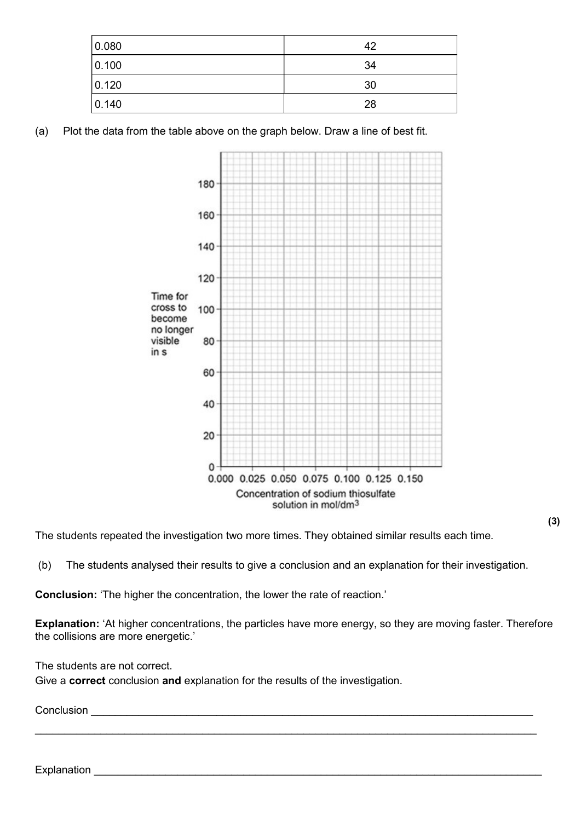| 0.080 | 42 |
|-------|----|
| 0.100 | 34 |
| 0.120 | 30 |
| 0.140 | 28 |

(a) Plot the data from the table above on the graph below. Draw a line of best fit.



The students repeated the investigation two more times. They obtained similar results each time.

(b) The students analysed their results to give a conclusion and an explanation for their investigation.

Conclusion: 'The higher the concentration, the lower the rate of reaction.'

Explanation: 'At higher concentrations, the particles have more energy, so they are moving faster. Therefore the collisions are more energetic.'

 $\_$  , and the set of the set of the set of the set of the set of the set of the set of the set of the set of the set of the set of the set of the set of the set of the set of the set of the set of the set of the set of th

The students are not correct.

Give a **correct** conclusion and explanation for the results of the investigation.

Conclusion

(3)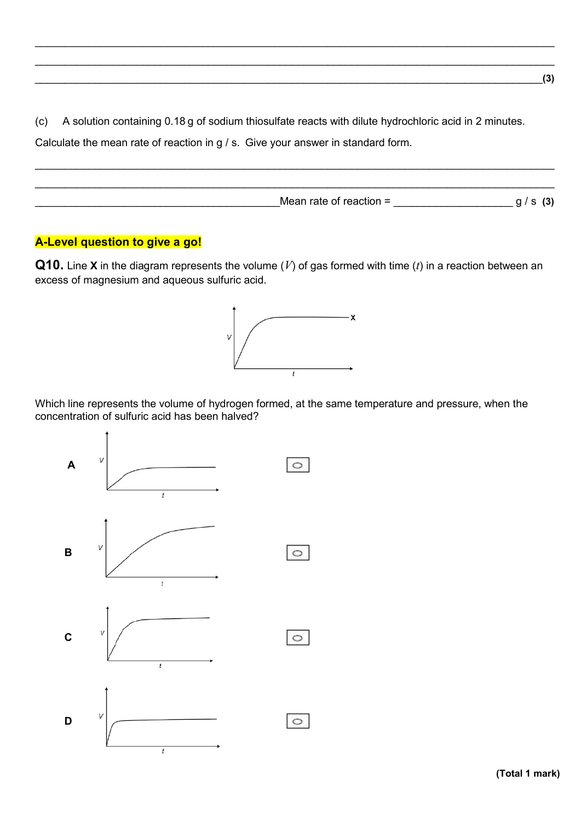(c) A solution containing 0.18 g of sodium thiosulfate reacts with dilute hydrochloric acid in 2 minutes.

 $\_$  , and the set of the set of the set of the set of the set of the set of the set of the set of the set of the set of the set of the set of the set of the set of the set of the set of the set of the set of the set of th  $\_$  , and the set of the set of the set of the set of the set of the set of the set of the set of the set of the set of the set of the set of the set of the set of the set of the set of the set of the set of the set of th  $\Box$  (3)

Calculate the mean rate of reaction in g / s. Give your answer in standard form.



### A-Level question to give a go!

**Q10.** Line **X** in the diagram represents the volume (V) of gas formed with time (t) in a reaction between an excess of magnesium and aqueous sulfuric acid.



Which line represents the volume of hydrogen formed, at the same temperature and pressure, when the concentration of sulfuric acid has been halved?